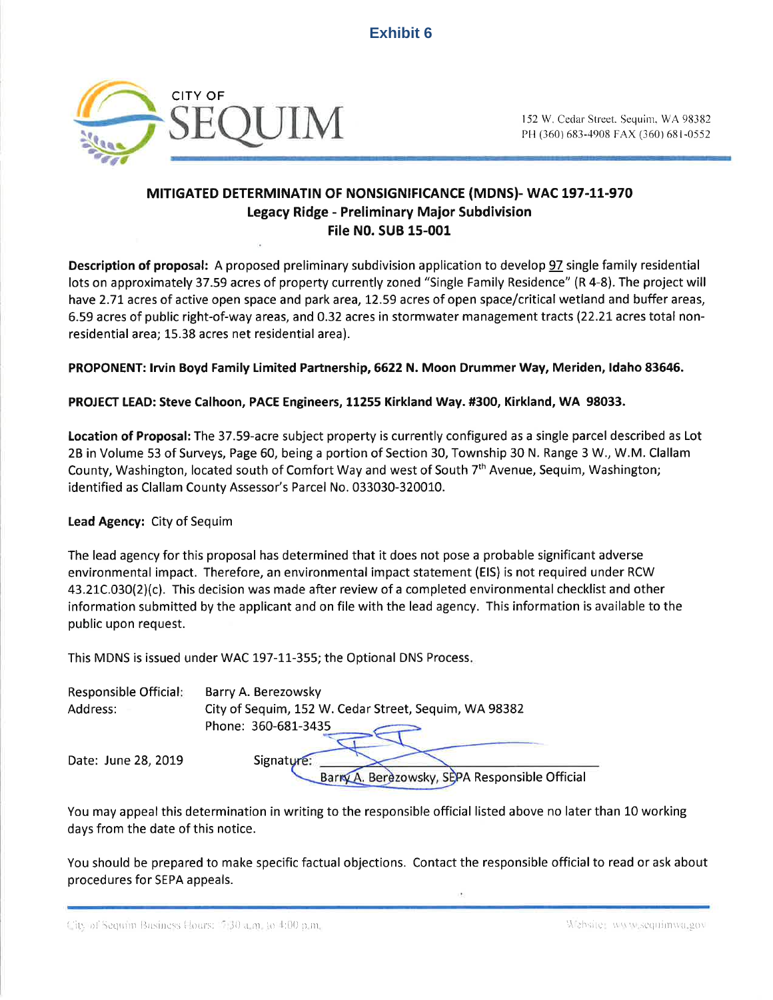

PH (360) 683-4908 FAX (360) 681-0552

## MITIGATED DETERMINATIN OF NONSIGNIFICANCE (MDNS)- WAC 197-11-970 Legacy Ridge - Preliminary Ma¡or Subdivision File N0. SUB 15-001

Description of proposal: A proposed preliminary subdivision application to develop 97 single family residential lots on approximately 37.59 acres of property currently zoned "Single Family Residence" (R 4-8). The project will have 2.71 acres of active open space and park area, 12.59 acres of open space/critical wetland and buffer areas, 6.59 acres of public right-of-way areas, and 0.32 acres in stormwater management tracts (22.2L acres total nonresidential area; L5.38 acres net residential area).

PROPONENT: lrvin Boyd Family Limited Partnership ,6622 N. Moon Drummer Way, Meriden, ldaho 83646.

### PROJECT LEAD: Steve Calhoon, PACE Engineers, 11255 Kirkland Way. #300, Kirkland, WA 98033.

Location of Proposal: The 37.59-acre subject property is currently configured as a single parcel described as Lot 28 in Volume 53 of Surveys, Page 60, being a portion of Section 30, Township 30 N. Range 3 W., W.M. Clallam County, Washington, located south of Comfort Way and west of South 7<sup>th</sup> Avenue, Sequim, Washington; identified as Clallam County Assessor's Parcel No. 033030-320010.

### Lead Agency: City of Sequim

The lead agency for this proposal has determíned that it does not pose a probable significant adverse environmental impact. Therefore, an environmental impact statement (ElS) is not required under RCW 43.21C.030(2)(c). This decision was made after review of a completed environmental checklist and other information submitted by the applicant and on file with the lead agency. This information is available to the public upon request.

This MDNS is issued under WAC 197-11-355; the Optional DNS Process

| Responsible Official: | Barry A. Berezowsky                                   |
|-----------------------|-------------------------------------------------------|
| Address:              | City of Sequim, 152 W. Cedar Street, Sequim, WA 98382 |
|                       | Phone: 360-681-3435                                   |
| Date: June 28, 2019   | Signature:                                            |
|                       | Barry A. Berezowsky, SEPA Responsible Official        |

You may appeal this determination in writing to the responsible official listed above no later than 10 working days from the date of this notice.

You should be prepared to make specific factual objections. Contact the responsible official to read or ask about procedures for SEPA appeals.

1. 1. Fig. of Sequim Business Hours: '7:30 a.m., to 4:00 p.m. **Cambrica** in the state of the state of the sequim value of the sequim value of the state of the state of the state of the state of the state of the state of th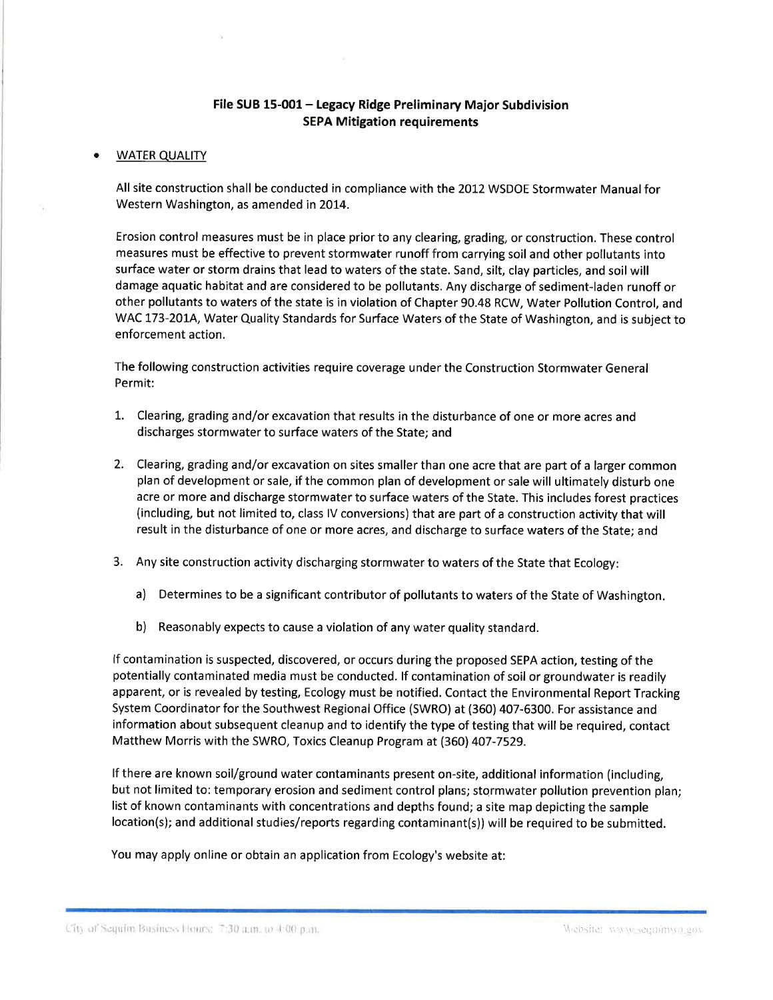### File SUB 15-001 - Legacy Ridge Preliminary Major Subdivision **SEPA Mitigation requirements**

### a **WATER QUALITY**

All site construction shall be conducted in compliance with the 2012 WSDOE Stormwater Manualfor Western Washington, as amended in 2014.

Erosion control measures must be in place prior to any clearing, grading, or construction. These control measures must be effective to prevent stormwater runoff from carrying soil and other pollutants into surface water or storm drains that lead to waters of the state. Sand, silt, clay particles, and soil will damage aquatic habitat and are considered to be pollutants. Any discharge of sediment-laden runoff or other pollutants to waters of the state is in violation of Chapter 90.48 RCW, Water Pollution Control, and WAC 173-2014, Water Quality Standards for Surface Waters of the State of Washington, and is subject to enforcement action.

The following construction activities require coverage under the Construction Stormwater General Permit:

- L. Clearing, grading and/or excavation that results in the disturbance of one or more acres and discharges stormwater to surface waters of the State; and
- 2. Clearing, grading and/or excavation on sites smaller than one acre that are part of a larger common plan of development or sale, if the common plan of development or sale will ultimately disturb one acre or more and discharge stormwater to surface waters of the State. This includes forest practices (including, but not limited to, class lV conversions) that are part of a construction activity that will result in the disturbance of one or more acres, and discharge to surface waters of the State; and
- 3. Any site construction activity discharging stormwater to waters of the State that Ecology
	- a) Determines to be a significant contributor of pollutants to waters of the State of Washington
	- b) Reasonably expects to cause a violation of any water quality standard.

If contamination is suspected, discovered, or occurs during the proposed SEPA action, testing of the potentially contaminated media must be conducted. lf contamination of soil or groundwater is readily apparent, or is revealed by testing, Ecology must be notified. Contact the Environmental Report Tracking System Coordinator for the Southwest Regional Office (SWRO) at (360) 407-6300. For assistance and information about subsequent cleanup and to identify the type of testing that will be required, contact Matthew Morris with the SWRO, Toxics Cleanup Program at (360) 407-7529.

lf there are known soil/ground water contaminants present on-site, additional information (including, but not limited to: temporary erosion and sediment control plans; stormwater pollution prevention plan; list of known contaminants with concentrations and depths found; a site map depicting the sample location(s); and additional studies/reports regarding contaminant(s)) will be required to be submitted.

You may apply online or obtain an application from Ecology's website at:

- City of Sequim Business Hours: 7:30 a.m. to 4:00 p.m. **In the Common Common Common Common Common Common Common Common Common Common Common Common Common Common Common Common Common Common Common Common Common Common Comm**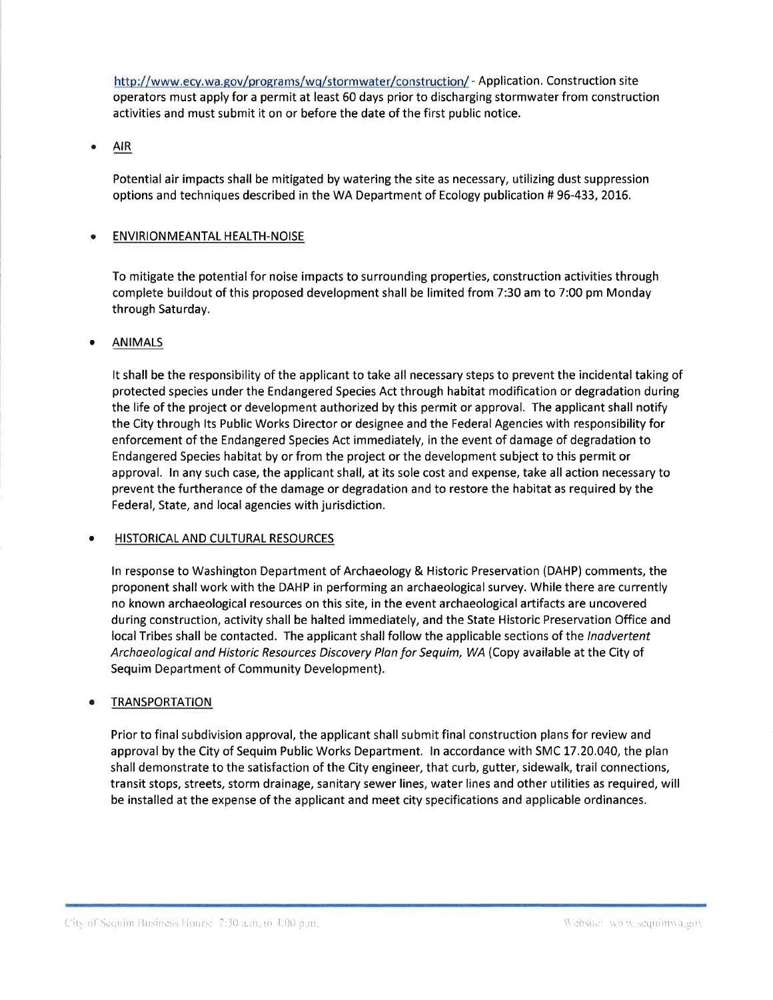http://www.ecy.wa.gov/programs/wq/stormwater/construction/ - Application. Construction site operators must apply for a permit at least 60 days prior to discharging stormwater from construction activities and must submit it on or before the date of the first public notice.

### $\bullet$ AIR

Potential air impacts shall be mitigated by watering the site as necessary, utilizing dust suppression options and techniques described in the WA Department of Ecology publication # 96-433, 2016.

### ENVIRION MEANTAL HEALTH-NOISE

To mitigate the potential for noise impacts to surrounding properties, construction activities through complete buildout of this proposed development shall be limited from 7:30 am to 7:00 pm Monday through Saturday.

### o ANIMALS

It shall be the responsibility of the applicant to take all necessary steps to prevent the incidental taking of protected species under the Endangered Species Act through habitat modification or degradation during the life of the project or development authorized by this permit or approval. The applicant shall notify the City through lts Public Works Director or designee and the Federal Agencies with responsibility for enforcement of the Endangered Species Act immediately, in the event of damage of degradation to Endangered Species habitat by or from the project or the development subject to this permit or approval. ln any such case, the applicant shall, at its sole cost and expense, take all action necessary to prevent the furtherance of the damage or degradation and to restore the habitat as required by the Federal, State, and local agencies with jurisdiction.

### **HISTORICAL AND CULTURAL RESOURCES**

ln response to Washington Department of Archaeology & Historic Preservation (DAHP) comments, the proponent shall work with the DAHP in performing an archaeological survey. While there are currently no known archaeological resources on this site, in the event archaeological artifacts are uncovered during construction, activity shall be halted immediately, and the State Historic Preservation Office and local Tribes shall be contacted. The applicant shall follow the applicable sections of the *Inadvertent* Archaeological and Historic Resources Discovery Plan for Sequim, WA (Copy available at the City of Sequim Department of Community Development).

### **TRANSPORTATION**

Prior to final subdivision approval, the applicant shall submit final construction plans for review and approval by the City of Sequim Public Works Department. ln accordance with SMC 17.20.040, the plan shall demonstrate to the satisfaction of the City engineer, that curb, gutter, sidewalk, trail connections, transit stops, streets, storm drainage, sanitary sewer lines, water lines and other utilities as required, will be installed at the expense of the applicant and meet city specifications and applicable ordinances.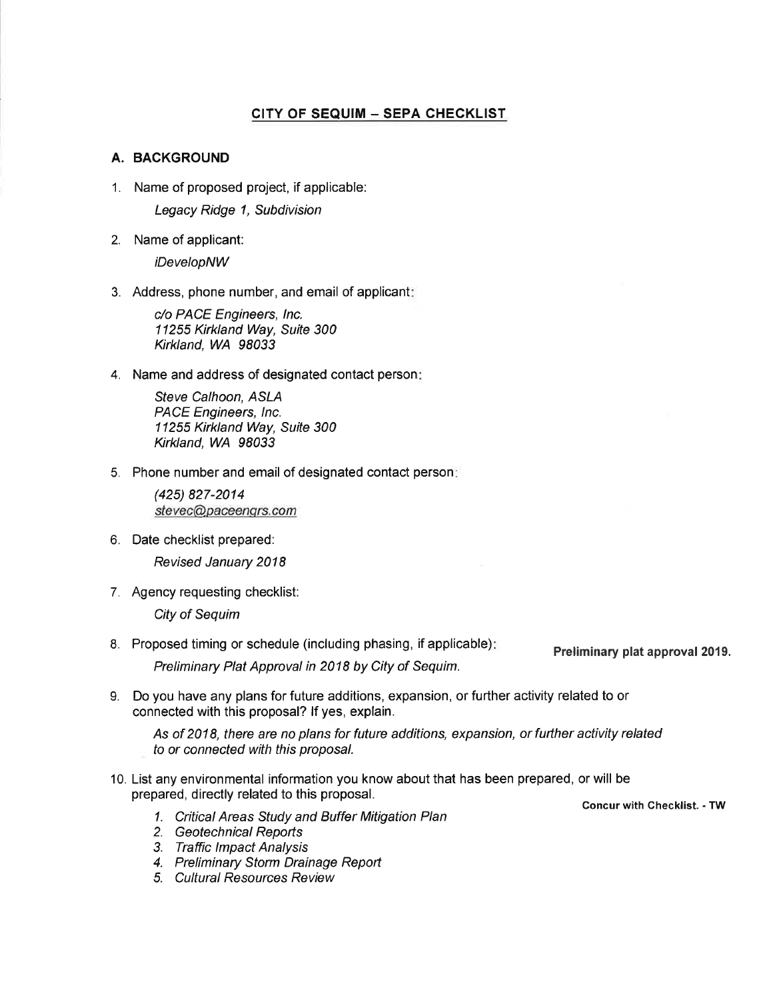### CITY OF SEQUIM - SEPA CHECKLIST

### A. BACKGROUND

1. Name of proposed project, if applicable:

Legacy Ridge 1, Subdivision

2. Name of applicant:

iDevelopNW

3. Address, phone number, and email of applicant

c/o PACE Engineers, lnc. 11255 Kirkland Way, Suite 300 Krkland, WA 98033

4. Name and address of designated contact person

Sfeve Calhoon, ASLA PACE Engineers, lnc. 11255 Kirkland Way, Suite 300 Kirkland, WA 98033

5. Phone number and email of designated contact person

(425) 827-2014 stevec@paceenqrs.com

6. Date checklist prepared:

Revised January 2018

7. Agency requesting checklist:

City of Sequim

8. Proposed timing or schedule (including phasing, if applicable)

Preliminary Plat Approval in 2018 by City of Sequim.

- Preliminary plat approval 2019.
- 9. Do you have any plans for future additions, expansion, or further activity related to or connected with this proposal? lf yes, explain.

As of 2018, there are no plans for future additions, expansion, or further activity related to or connected with this proposal.

- 10. List any environmental information you know about that has been prepared, or will be prepared, directly related to this proposal.
	- Concur with Checklist. TW 1. Critical Areas Study and Buffer Mitigation Plan
	- 2. Geotechnical Reports
	- 3. Traffic lmpact Analysis
	- 4. Preliminary Storm Drainage Report
	- 5. Cultural Resources Review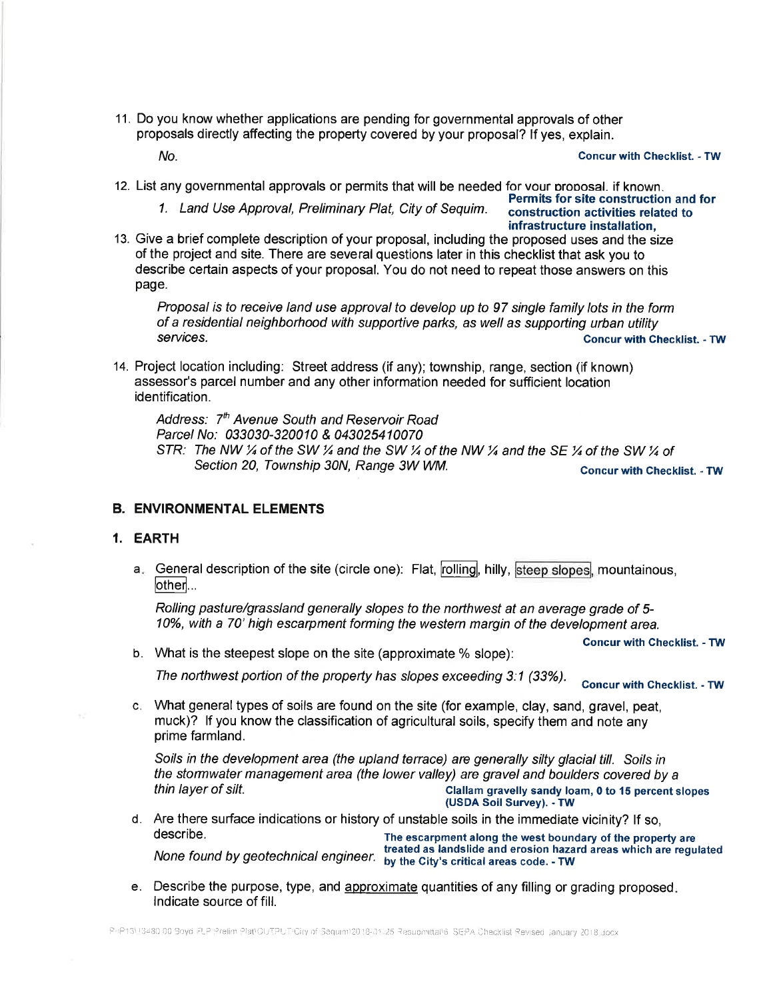11. Do you know whether applications are pending for governmental approvals of other proposals directly affecting the property covered by your proposal? lf yes, explain.

NO. Concur with Checklist. - TW

12. List any governmental approvals or permits that will be needed for vour orooosal. if known.

1. Land Use Approval, Preliminary Plat, City of Sequim. ::: construction activities related to

# infrastructure installation,

13. Give a brief complete description of your proposal, including the proposed uses and the size of the project and site. There are several questions later in this checklist that ask you to describe certain aspects of your proposal. You do not need to repeat those answers on this page.

Proposal is to receive land use approval to develop up to 97 single family lots in the form of a residential neighborhood with supportive parks, as well as supporting urban utility services. Concur with Checklist. - TW Services. Concur with Checklist. - TW Services.

14. Project location including: Street address (if any); township, range, section (if known) assessor's parcel number and any other information needed for sufficient location identification.

Address: 7<sup>th</sup> Avenue South and Reservoir Road Parcel No: 033030-320010 & 043025410070 STR: The NW  $\frac{1}{4}$  of the SW  $\frac{1}{4}$  and the SW  $\frac{1}{4}$  of the NW  $\frac{1}{4}$  and the SE  $\frac{1}{4}$  of the SW  $\frac{1}{4}$  of Section 20, Township 30N, Range 3W WM. Goncur with Checklist. - TW

### B. ENVIRONMENTAL ELEMENTS

### 1. EARTH

a General description of the site (circle one): Flat, **rolling**, hilly, **steep slopes**, mountainous<br>[other]...

Rolling pasture/grassland generally slopes to the northwest at an average grade of 5-10%, with a 70' high escarpment forming the western margin of the development area.

b. What is the steepest slope on the site (approximate % slope): Concur with Checklist. - TW

The northwest portion of the property has slopes exceeding 3:1 (33%). Concur with Checklist. - TW

c. What general types of soils are found on the site (for example, clay, sand, gravel, peat, muck)? lf you know the classification of agricultural soils, specify them and note any prime farmland.

Soils in the development area (the upland terrace) are generally silty glacial till. Soils in the stormwater management area (the lower valley) are gravel and boulders covered by a<br>Clallam gravelly sandy loam, 0 to 15 percent slopes<br>USDA Soil Survey). - TW

d. Are there surface indications or history of unstable soils in the immediate vicinity? lf so, The escarpment along the west boundary of the property are treated as landslide and erosion hazard areas which are regulated

None found by geotechnical engineer. by the City's critical areas code. - TW

e. Describe the purpose, type, and approximate quantities of any filling or grading proposed. lndicate source of fill.

PhP13U3480.00 Boyd FLP Prelim Plat/OUTPUT City of Sequint/2018-01-25 Resupmittal/6, SEPA Checklist Revised January 2018.docx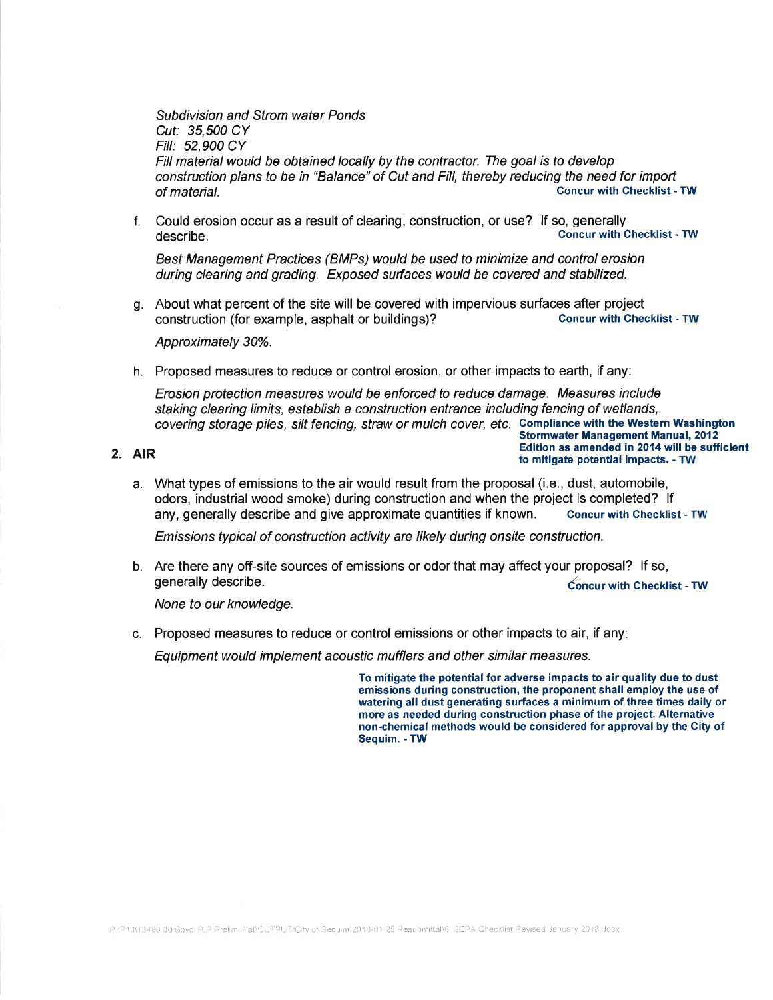Subdivision and Strom water Ponds Cut: 35,500 CY Fill: 52,900 CY Fill material would be obtained locally by the contractor. The goal is to develop construction plans to be in "Balance" of Cut and Fill, thereby reducing the need for import of material. Concur with Checklist - TW

f. Could erosion occur as a result of clearing, construction, or use? lf so, generally **Concur with Checklist - TW** 

Best Management Practices (BMPs) would be used to minimize and control erosion during clearing and grading. Exposed surfaces would be covered and stabilized.

g. About what percent of the site will be covered with impervious surfaces after project<br>construction (for example asphalt or buildings)?<br>Concur with Checklist - TW construction (for example, asphalt or buildings)?

Approximately 30%.

h. Proposed measures to reduce or control erosion, or other impacts to earth, if any:

Erosion protection measures would be enforced to reduce damage. Measures include staking clearing limits, establish a construction entrance including fencing of wetlands, covering storage piles, silt fencing, straw or mulch cover, etc. Compliance with the Western Washington<br>Stormwater Management Manual, 2012

**2.** AIR **Edition as amended in 2014 will be sufficient 2.** AIR to mitigate potential impacts. - TW

a. What types of emissions to the air would result from the proposal (i.e., dust, automobile, odors, lndustrial wood smoke) during construction and when the project is completed? lf any, generally describe and give approximate quantities if known. Concur with Checklist - TW

Emissions typical of construction activity are likely during onsite construction.

b. Are there any off-site sources of emissions or odor that may affect your proposal? lf so, generally describe. local contracts of the contracts of the contracts of the contracts of the contracts of the contracts of the contracts of the contracts of the contracts of the contracts of the contracts of the contracts

None to our knowledge.

c. Proposed measures to reduce or control emissions or other impacts to air, if any

Equipment would implement acoustic mufflers and other similar measures.

To mitigate the potential for adverse impacts to air quality due to dust emissions during construction, the proponent shall employ the use of watering all dust generating surfaces a minimum of three times daily or more as needed during construction phase of the project. Alternative non-chemicaf methods would be considered for approval by the Gity of Sequim. - TW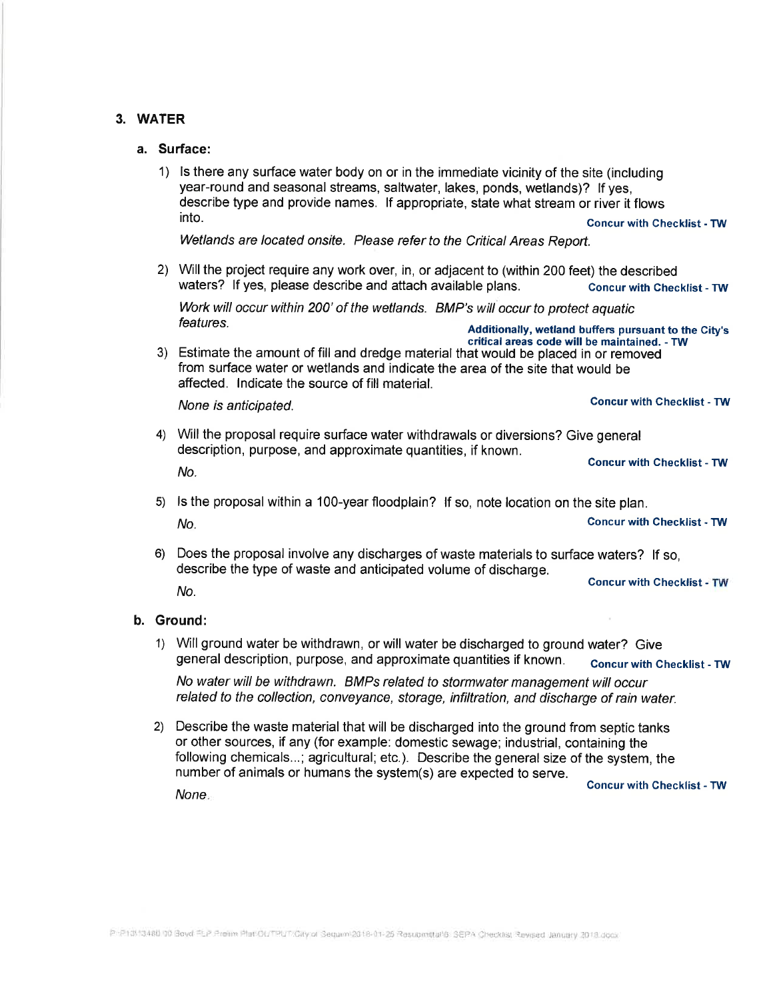### 3. WATER

### a. Surface:

1) ls there any surface water body on or in the immediate vicinity of the site (including year-round and seasonal streams, saltwater, lakes, ponds, wetlands)? lf yes, describe type and provide names. lf appropriate, state what stream or river it flows into. concur with Checktist - TW

Wetlands are located onsite. Please refer to the Critical Areas Report.

2) Willthe project require any work over, in, or adjacent to (within 200 feet) the described waters? If yes, please describe and attach available plans. Concur with Checklist - TW

Work will occur within 200' of the wetlands. BMP's will occur to protect aquatic features.<br>
Additionally, wetland buffers pursuant to the City's<br>
critical areas code will be maintained. - TW

3) Estimate the amount of fill and dredge material that would be placed in or removed from surface water or wetlands and indicate the area of the site that would be affected. lndicate the source of fill material.

None is anticipated. Concur with Checklist - TW

4) Will the proposal require surface water withdrawals or diversions? Give general description, purpose, and approximate quantities, if known.

NO. Concur with Checklist - TW

- 5) ls the proposal within a 1OO-year floodplain? lf so, note location on the site plan. No. No. 2008 2012 12:30 No. 2012 2013 2014 2015 2016 2017 2018 2019 2014 2015 2016 2017 2018 2019 2017 2018 201
- 6) Does the proposal involve any discharges of waste materials to surface waters? lf so, describe the type of waste and anticipated volume of discharge. NO. Concur with Checklist - TW

### b. Ground:

1) Will ground water be withdrawn, or will water be discharged to ground water? Give general description, purpose, and approximate quantities if known. concur with Checklist - TW

No water will be withdrawn. BMPs related to stormwater management will occur related to the collection, conveyance, storage, infiltration, and discharge of rain water.

2) Describe the waste material that will be discharged into the ground from septic tanks or other sources, if any (for example: domestic sewage; industrial, containing the following chemicals...; agricultural; etc.). Describe the general size of the system, the number of animals or humans the system(s) are expected to serve. Goncur with Ghecklíst - TW None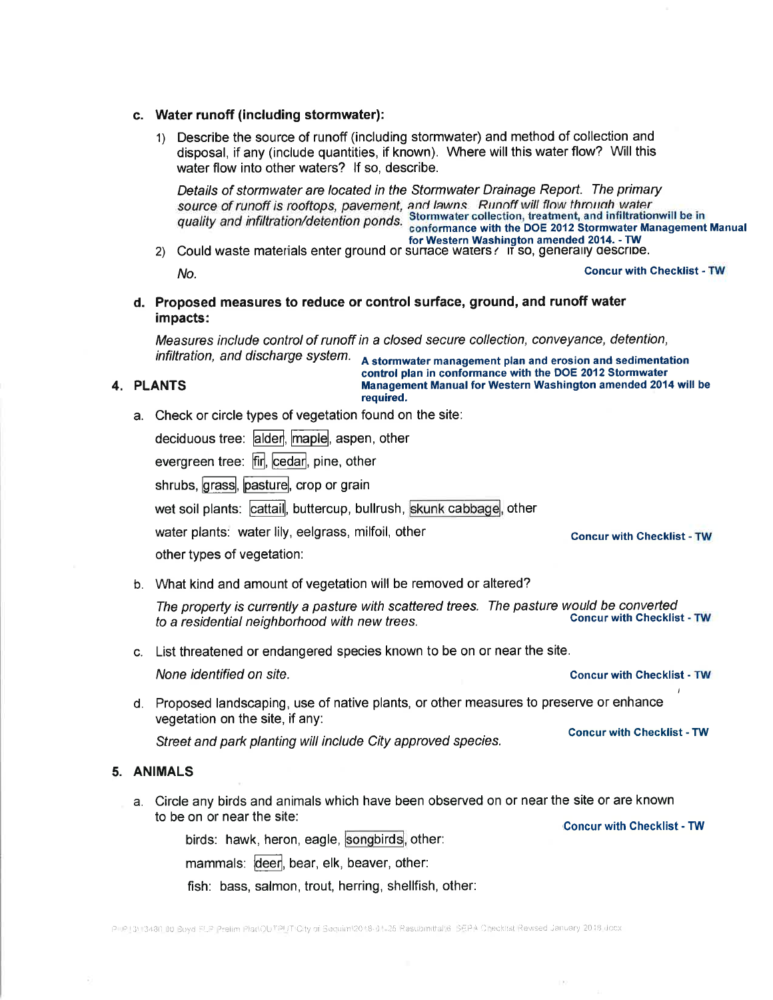### c. Water runoff (including stormwater):

1) Describe the source of runoff (including stormwater) and method of collection and disposal, if any (include quantities, if known). Where will this water flow? Will this water flow into other waters? lf so, describe.

Details of stormwater are located in the Stormwater Drainage Report. The primary source of runoff is rooftops, pavement, and lawns. Runoff will flow through water quality and infiltration/detention ponds. Stormwater collection, treatment, and infiltrationwill be in<br>conformance with the DOE 2012 Stormwater Manuagement Manual<br>for Western Washington amended 2014. - TW

2) Could waste materials enter ground or sunace waters  $\cdot$  if so, generatry describe. No. **Goncur with Checklist - TW Concur with Checklist - TW** 

d. Proposed measures to reduce or control surface, ground, and runoff water impacts:

Measures include control of runoff in a closed secure collection, conveyance, detention,

infiltration, and discharge system.  $A$  stormwater management plan and erosion and sedimentation<br>control plan in conformance with the DOE 2012 Stormwater 4. PLANTS **in the State of Management Manual for Western Washington amended 2014 will be** required.

a. Check or circle types of vegetation found on the site:

| deciduous tree: <mark>alder</mark> , <mark>maple</mark> ,  aspen,  other |  |  |  |  |
|--------------------------------------------------------------------------|--|--|--|--|
|--------------------------------------------------------------------------|--|--|--|--|

evergreen tree: fir, cedar, pine, other

shrubs, grass, pasture, crop or grain

wet soil plants: ˈ<mark>cattail</mark>, buttercup, bullrush, <mark>skunk cabbage</mark>, other

water plants: water lily, eelgrass, milfoil, other Goncur with checklist - TW

other types of vegetation:

b. What kind and amount of vegetation will be removed or altered?

The property is currently a pasture with scattered trees. The pasture would be converted<br>to a residential paighborhood with new trees to a residential neighborhood with new trees.

c. List threatened or endangered species known to be on or near the site.

None identified on site. Goncur with Checklist - TW

d. Proposed landscaping, use of native plants, or other measures to preserve or enhance vegetation on the site, if any:

Street and park planting will include City approved species. concur with Checklist - TW

### 5. ANIMALS

a. Circle any birds and animals which have been observed on or near the site or are known to be on or near the site: 'Concur with Checklist - TW

birds: hawk, heron, eagle, <mark>songbirds</mark>, other:

mammals: deer, bear, elk, beaver, other:

fish: bass, salmon, trout, herring, shellfish, other: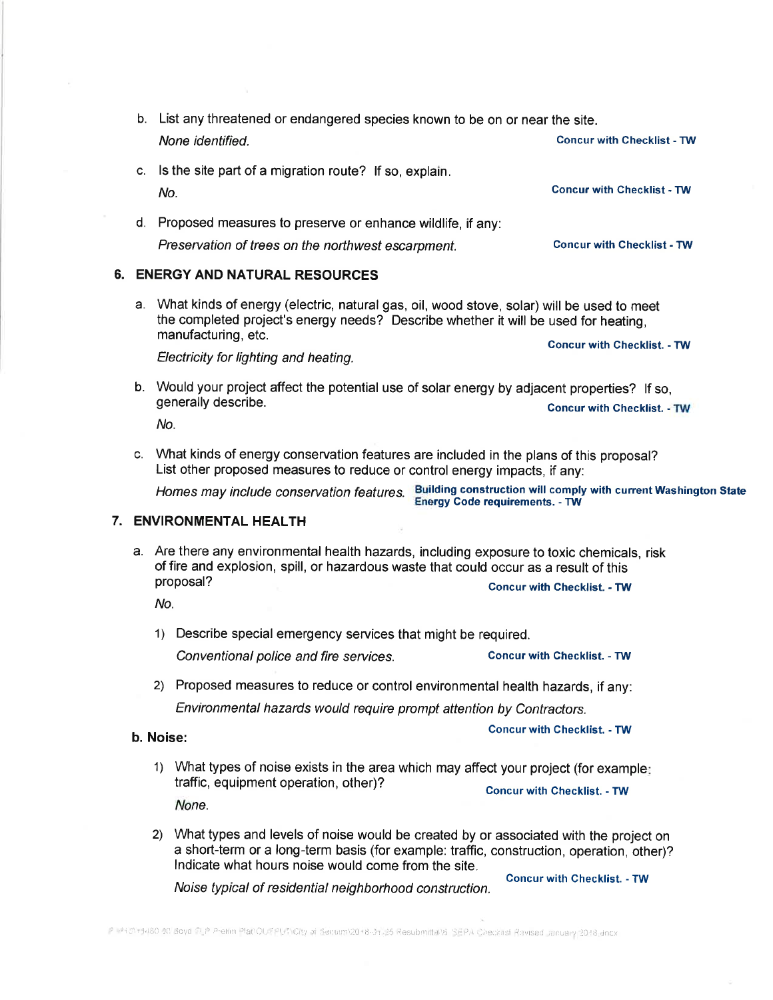- b. List any threatened or endangered species known to be on or near the site. None identified. Concur with Checklist - TW
- c. ls the site part of a migration route? lf so, explain. NO. Concur with Checklist - TW
- d. Proposed measures to preserve or enhance wildlife, if any: Preservation of trees on the northwest escarpment. Concur with Checklist - TW

### 6. ENERGYAND NATURAL RESOURCES

a. What kinds of energy (electric, natural gas, oil, wood stove, solar) will be used to meet the completed project's energy needs? Describe whether it will be used for heating, manufacturing, etc. concur with checklist. - Tw

Electricity for lighting and heating.

b. Would your project affect the potential use of solar energy by adjacent properties? lf so, exally describe. The personal describer of solar energy by adjacent properties: Thiso,<br>generally describe. Concur with Checklist. - TW

No.

c. What kinds of energy conservation features are included in the plans of this proposal? List other proposed measures to reduce or control energy impacts, if any:

Homes may include conservation features. Building construction will comply with current Washington State

Energy Code requirements. - TW

### 7. ENVIRONMENTAL HEALTH

a. Are there any environmental health hazards, including exposure to toxic chemicals, risk of fire and explosion, spill, or hazardous waste that could occur as a result of this proposal?

No.

1) Describe special emergency services that might be required.

Conventional police and fire services. Concur with Checklist. - TW

2) Proposed measures to reduce or control environmental health hazards, if any: Environmental hazards would require prompt attention by Contractors.

b. NOiSe: Concur with Checklist. - TW

- 1) What types of noise exists in the area which may affect your project (for example traffic, equipment operation, other)? Concur with Checklist. - TW None.
- 2) What types and levels of noise would be created by or associated with the project on a short-term or a long-term basis (for example: traffic, construction, operation, other)? lndicate what hours noise would come from the site.

Noise typicat of residentiat neighborhood construction.

**Concur with Checklist. - TW**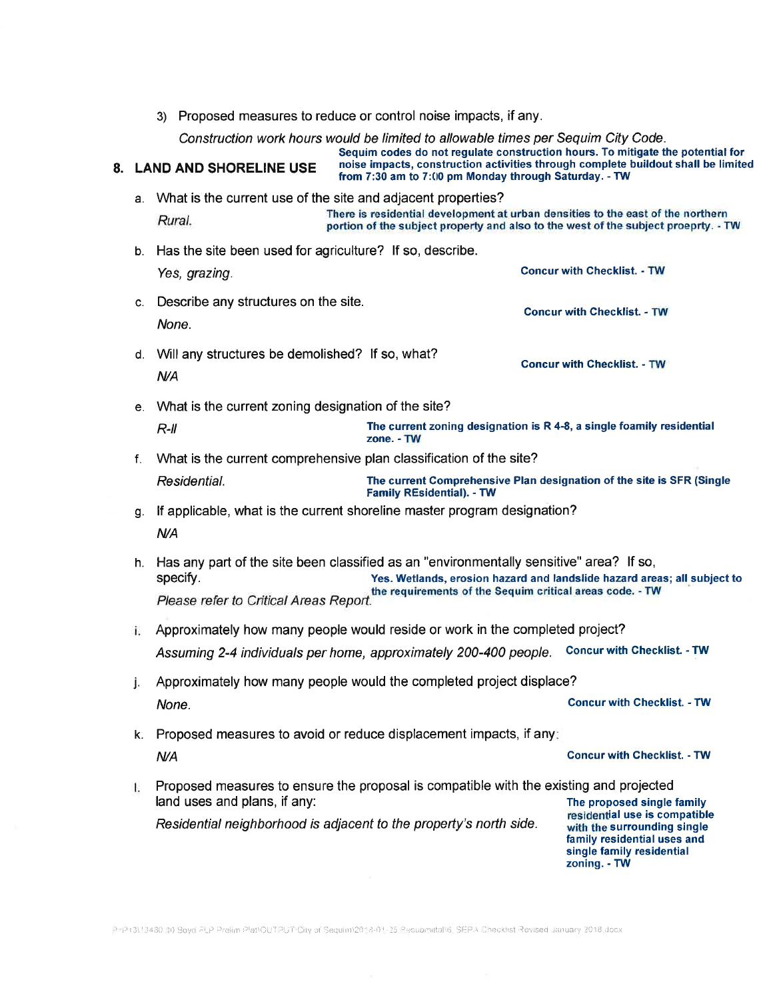3) Proposed measures to reduce or control noise impacts, if any.

Construction work hours would be limited to allowable times per Sequim City Code.

Sequim codes do not regulate construction hours. To mitigate the potential for 8. LAND AND SHORELINE USE noise impacts, construction activities through complete buildout shall be limited from 7:30 am to 7:00 pm Monday through Saturday. - TW

- a. What is the current use of the site and adjacent properties? There is residential development at urban densities to the east of the northern<br>Rural. portion of the subject property and also to the west of the subject proeprty. - TW
- b. Has the site been used for agriculture? lf so, describe. Yes, grazing. Concur with Checklist. - TW
- c. Describe any structures on the site. None. Concur with Checklist. - TW
- d. Will any structures be demolished? lf so, what? **N/A** Concur with Checklist. - TW
- e. What is the current zoning designation of the site? R-ll is interest to the current zoning designation is R 4-8, a single foamily residential resolution. The current zoning designation is R 4-8, a single foamily residential
- <sup>f</sup>. What is the current comprehensive plan classification of the site? Residential. The current Comprehensive Plan designation of the site is SFR (Single<br>Family REsidential). - TW
- g. lf applicable, what is the current shoreline master program designation? **N/A**
- h. Has any part of the site been classified as an "environmentally sensitive" area? If so,<br>specify. Yes. Wetlands, erosion hazard and landslide hazard are Yes. Wetlands, erosion hazard and landslide hazard areas; all subject to please refer to Critical Areas Report.
- Approximately how many people would reside or work in the completed project? Assuming 2-4 individuals per home, approximately 200-400 people. Concur with Ghecklist. - TW
- j. Approximately how many people would the completed project displace? None. Concurwith Checklist. -TW
- Concur with Checklist. TW k. Proposed measures to avoid or reduce displacement impacts, if any **N/A**
- Proposed measures to ensure the proposal is compatible with the existing and projected 1. land uses and plans, if any:<br>
The proposed single family<br>
The proposed single family<br>
residential use is compatible Residential neighborhood is adjacent to the property's north side. with the surrounding single

family residential uses and single family residential zoning. - TW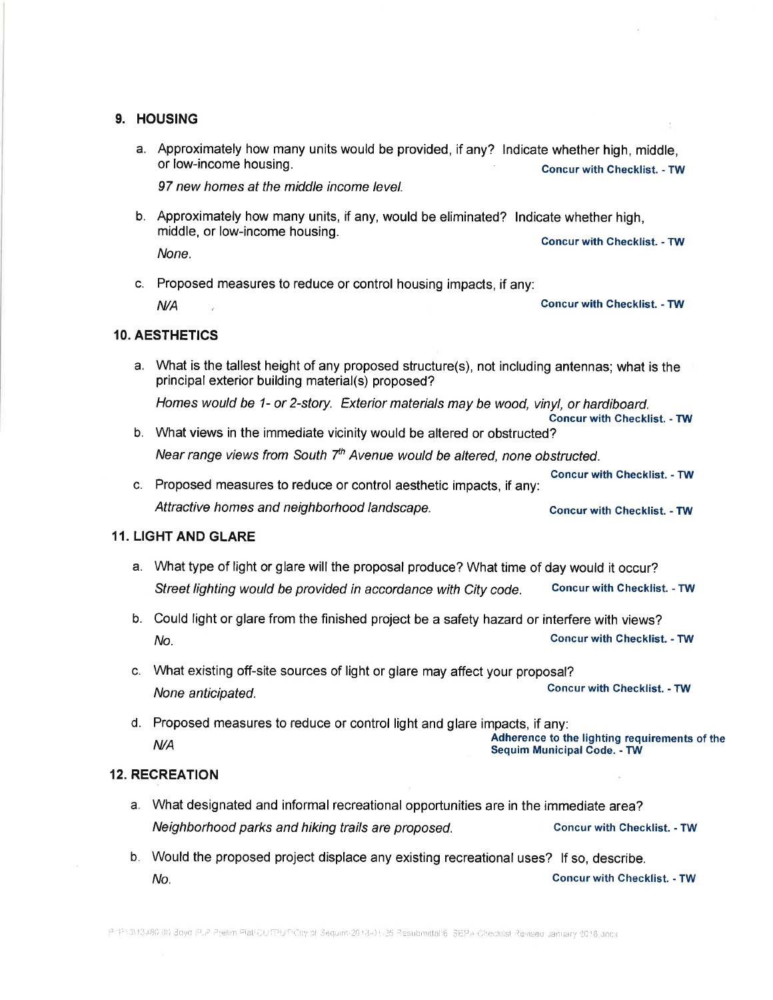### 9. HOUSING

a. Approximately how many units would be provided, if any? lndicate whether high, middle, or low-income housing. Concur with Checktist. - TW

97 new homes at the middle income level.

- b. Approximately how many units, if any, would be eliminated? lndicate whether high, middle, or low-income housing. Concur with Checklist. - TW None.
- c. Proposed measures to reduce or control housing impacts, if any:  $N$ <sup>/</sup>A  $\sim$   $N$   $\sim$   $N$   $\sim$   $N$   $\sim$   $N$   $\sim$   $N$   $\sim$   $N$   $\sim$   $N$   $\sim$   $N$   $\sim$   $N$   $\sim$   $N$   $\sim$   $N$   $\sim$   $N$   $\sim$   $N$   $\sim$   $N$   $\sim$   $N$   $\sim$   $N$   $\sim$   $N$   $\sim$   $N$   $\sim$   $N$   $\sim$   $N$   $\sim$   $N$   $\sim$   $N$   $\sim$   $N$   $\sim$

### 10. AESTHETICS

a. What is the tallest height of any proposed structure(s), not including antennas; what is the principal exterior building material(s) proposed?

Homes would be 1- or 2-story. Exterior materials may be wood, vinyl, or hardiboard. Concur with Checklist. - TW

- b. What views in the immediate vicinity would be altered or obstructed? Near range views from South  $7<sup>th</sup>$  Avenue would be altered, none obstructed.
- Concur with Checklist. TW c. Proposed measures to reduce or control aesthetic impacts, if any: Attractive homes and neighborhood landscape. Concur with Checklist. - TW

### 11. LIGHT AND GLARE

- a. What type of light or glare will the proposal produce? What time of day would it occur? Street lighting would be provided in accordance with City code. Concur with Checklist. - TW
- b. Could light or glare from the finished project be a safety hazard or interfere with views? NO. Concur with Checktist. - TW
- c. What existing off-site sources of light or glare may affect your proposal? None anticipated. Concur with checklist. - TW
- d. Proposed measures to reduce or control light and glare impacts, if any:<br>Adherence to the lighting requ<br>Sequim Municipal Code. TW Adherence to the lighting requirements of the

### 12. RECREATION

- a. What designated and informal recreational opportunities are in the immediate area? Neighborhood parks and hiking trails are proposed. Concur with Checklist. - TW
- b. Would the proposed project displace any existing recreational uses? lf so, describe. NO. Concur with Checkfist. - TW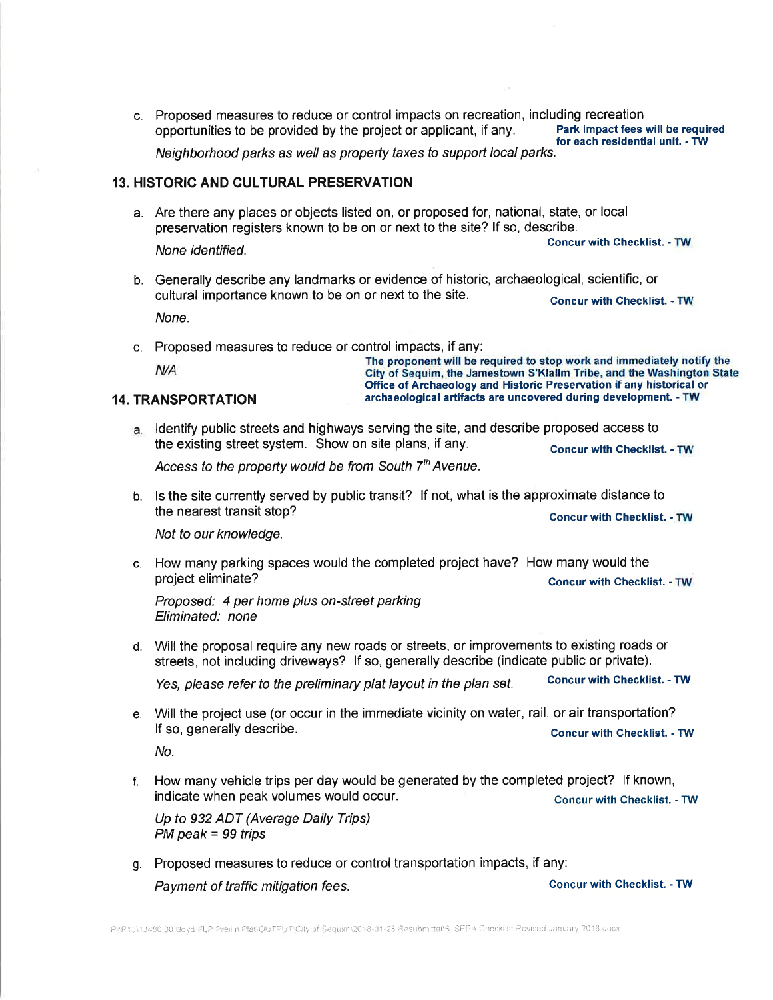c. Proposed measures to reduce or control impacts on recreation, including recreation<br>conportunities to be provided by the project or applicant, if any. Park impact fees will be required opportunities to be provided by the project or applicant, if any. Park impact fees will be requin<br>for each residential unit. - TW Neighborhood parks as well as propefty taxes to support local parks.

### 13. HISTORIC AND CULTURAL PRESERVATION

a. Are there any places or objects listed on, or proposed for, national, state, or local preservation registers known to be on or next to the site? lf so, describe. None identified. Concur with checklist. - TW

- b. Generally describe any landmarks or evidence of historic, archaeological, scientific, or cultural importance known to be on or next to the site. Concur with Checklist. - TW None.
- c. Proposed measures to reduce or control impacts, if any:<br>The proponent will be required to stop work and immediately notify the<br>City of Sequim, the Jamestown S'Klallm Tribe, and the Washington State

# Office of Archaeology and Historic Preservation if any historical or 14. TRANSPORTATION archaeological artifacts are uncovered during development. - TW

ldentify public streets and highways serving the site, and describe proposed access to the existing street system. Show on site plans, if any. Concur with Checklist. - TW

Access to the property would be from South  $7<sup>th</sup>$  Avenue.

b. ls the site currently served by public transit? lf not, what is the approximate distance to the nearest transit stop? The nearest transit stop?

Not to our knowledge.

c. How many parking spaces would the completed project have? How many would the project eliminate? Concur with Checklist. - TW

Proposed: 4 per home plus on-street parking Eliminated: none

d. Will the proposal require any new roads or streets, or improvements to existing roads or streets, not including driveways? lf so, generally describe (indicate public or private).

Yes, please refer to the preliminary plat layout in the plan set. Concur with Checklist. - TW

e. Will the project use (or occur in the immediate vicinity on water, rail, or air transportation? If so, generally describe. Concur with checklist. - TW

No.

f. How many vehicle trips per day would be generated by the completed project? lf known, indicate when peak volumes would occur. The concurwith Checklist. - TW

Up to 932 ADT (Average Daily Trips) PM peak = 99 trips

g. Proposed measures to reduce or control transportation impacts, if any: Payment of traffic mitigation fees. The Concur with Checklist. - TW

PHP13\13480-00-Boyd-FLP-Prelim-PlattOUTPUT\City-of-Sequimt2018-01-25 Resubmittans-SEPA-Checklist Revised January 2018-docx